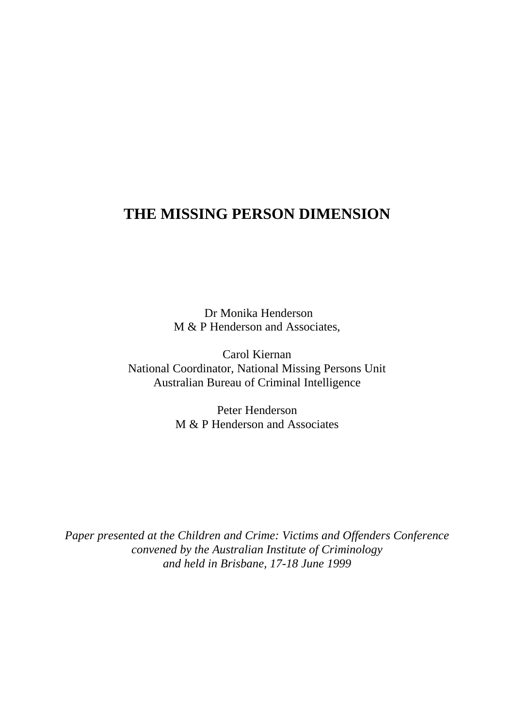# **THE MISSING PERSON DIMENSION**

 Dr Monika Henderson M & P Henderson and Associates,

Carol Kiernan National Coordinator, National Missing Persons Unit Australian Bureau of Criminal Intelligence

> Peter Henderson M & P Henderson and Associates

*Paper presented at the Children and Crime: Victims and Offenders Conference convened by the Australian Institute of Criminology and held in Brisbane, 17-18 June 1999*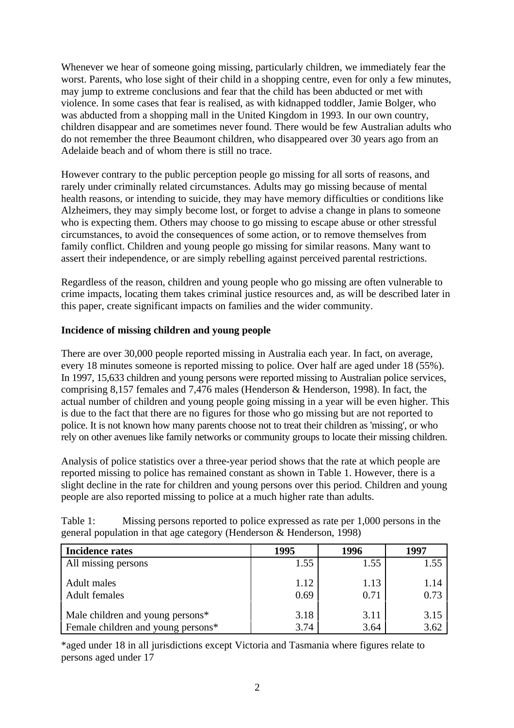Whenever we hear of someone going missing, particularly children, we immediately fear the worst. Parents, who lose sight of their child in a shopping centre, even for only a few minutes, may jump to extreme conclusions and fear that the child has been abducted or met with violence. In some cases that fear is realised, as with kidnapped toddler, Jamie Bolger, who was abducted from a shopping mall in the United Kingdom in 1993. In our own country, children disappear and are sometimes never found. There would be few Australian adults who do not remember the three Beaumont children, who disappeared over 30 years ago from an Adelaide beach and of whom there is still no trace.

However contrary to the public perception people go missing for all sorts of reasons, and rarely under criminally related circumstances. Adults may go missing because of mental health reasons, or intending to suicide, they may have memory difficulties or conditions like Alzheimers, they may simply become lost, or forget to advise a change in plans to someone who is expecting them. Others may choose to go missing to escape abuse or other stressful circumstances, to avoid the consequences of some action, or to remove themselves from family conflict. Children and young people go missing for similar reasons. Many want to assert their independence, or are simply rebelling against perceived parental restrictions.

Regardless of the reason, children and young people who go missing are often vulnerable to crime impacts, locating them takes criminal justice resources and, as will be described later in this paper, create significant impacts on families and the wider community.

# **Incidence of missing children and young people**

There are over 30,000 people reported missing in Australia each year. In fact, on average, every 18 minutes someone is reported missing to police. Over half are aged under 18 (55%). In 1997, 15,633 children and young persons were reported missing to Australian police services, comprising 8,157 females and 7,476 males (Henderson & Henderson, 1998). In fact, the actual number of children and young people going missing in a year will be even higher. This is due to the fact that there are no figures for those who go missing but are not reported to police. It is not known how many parents choose not to treat their children as 'missing', or who rely on other avenues like family networks or community groups to locate their missing children.

Analysis of police statistics over a three-year period shows that the rate at which people are reported missing to police has remained constant as shown in Table 1. However, there is a slight decline in the rate for children and young persons over this period. Children and young people are also reported missing to police at a much higher rate than adults.

| <b>Incidence rates</b>             | 1995 | 1996 | 1997 |
|------------------------------------|------|------|------|
| All missing persons                | 1.55 | 1.55 | 1.55 |
| Adult males                        | 1.12 | 1.13 | 1.14 |
| <b>Adult females</b>               | 0.69 | 0.71 | 0.73 |
| Male children and young persons*   | 3.18 | 3.11 | 3.15 |
| Female children and young persons* | 3.74 | 3.64 | 3.62 |

Table 1: Missing persons reported to police expressed as rate per 1,000 persons in the general population in that age category (Henderson & Henderson, 1998)

\*aged under 18 in all jurisdictions except Victoria and Tasmania where figures relate to persons aged under 17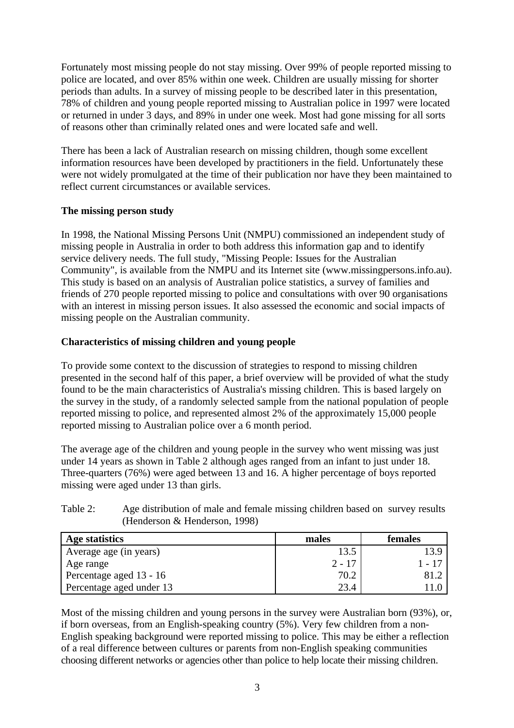Fortunately most missing people do not stay missing. Over 99% of people reported missing to police are located, and over 85% within one week. Children are usually missing for shorter periods than adults. In a survey of missing people to be described later in this presentation, 78% of children and young people reported missing to Australian police in 1997 were located or returned in under 3 days, and 89% in under one week. Most had gone missing for all sorts of reasons other than criminally related ones and were located safe and well.

There has been a lack of Australian research on missing children, though some excellent information resources have been developed by practitioners in the field. Unfortunately these were not widely promulgated at the time of their publication nor have they been maintained to reflect current circumstances or available services.

# **The missing person study**

In 1998, the National Missing Persons Unit (NMPU) commissioned an independent study of missing people in Australia in order to both address this information gap and to identify service delivery needs. The full study, "Missing People: Issues for the Australian Community", is available from the NMPU and its Internet site (www.missingpersons.info.au). This study is based on an analysis of Australian police statistics, a survey of families and friends of 270 people reported missing to police and consultations with over 90 organisations with an interest in missing person issues. It also assessed the economic and social impacts of missing people on the Australian community.

## **Characteristics of missing children and young people**

To provide some context to the discussion of strategies to respond to missing children presented in the second half of this paper, a brief overview will be provided of what the study found to be the main characteristics of Australia's missing children. This is based largely on the survey in the study, of a randomly selected sample from the national population of people reported missing to police, and represented almost 2% of the approximately 15,000 people reported missing to Australian police over a 6 month period.

The average age of the children and young people in the survey who went missing was just under 14 years as shown in Table 2 although ages ranged from an infant to just under 18. Three-quarters (76%) were aged between 13 and 16. A higher percentage of boys reported missing were aged under 13 than girls.

# Table 2: Age distribution of male and female missing children based on survey results (Henderson & Henderson, 1998)

| Age statistics           | males    | females           |
|--------------------------|----------|-------------------|
| Average age (in years)   | 13.5     | 13.9              |
| Age range                | $2 - 17$ | 1 - 17            |
| Percentage aged 13 - 16  | 70.2     | -81. <sup>-</sup> |
| Percentage aged under 13 | 23.4     |                   |

Most of the missing children and young persons in the survey were Australian born (93%), or, if born overseas, from an English-speaking country (5%). Very few children from a non-English speaking background were reported missing to police. This may be either a reflection of a real difference between cultures or parents from non-English speaking communities choosing different networks or agencies other than police to help locate their missing children.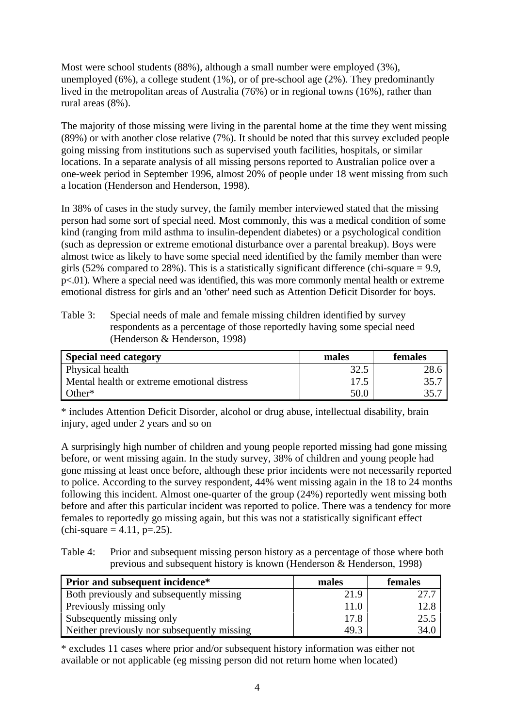Most were school students (88%), although a small number were employed (3%), unemployed  $(6\%)$ , a college student  $(1\%)$ , or of pre-school age  $(2\%)$ . They predominantly lived in the metropolitan areas of Australia (76%) or in regional towns (16%), rather than rural areas (8%).

The majority of those missing were living in the parental home at the time they went missing (89%) or with another close relative (7%). It should be noted that this survey excluded people going missing from institutions such as supervised youth facilities, hospitals, or similar locations. In a separate analysis of all missing persons reported to Australian police over a one-week period in September 1996, almost 20% of people under 18 went missing from such a location (Henderson and Henderson, 1998).

In 38% of cases in the study survey, the family member interviewed stated that the missing person had some sort of special need. Most commonly, this was a medical condition of some kind (ranging from mild asthma to insulin-dependent diabetes) or a psychological condition (such as depression or extreme emotional disturbance over a parental breakup). Boys were almost twice as likely to have some special need identified by the family member than were girls (52% compared to 28%). This is a statistically significant difference (chi-square  $= 9.9$ , p<.01). Where a special need was identified, this was more commonly mental health or extreme emotional distress for girls and an 'other' need such as Attention Deficit Disorder for boys.

Table 3: Special needs of male and female missing children identified by survey respondents as a percentage of those reportedly having some special need (Henderson & Henderson, 1998)

| <b>Special need category</b>                | males | <b>females</b> |
|---------------------------------------------|-------|----------------|
| Physical health                             | 32.5  | 28.6           |
| Mental health or extreme emotional distress | 17.5  | 35.7           |
| Other <sup>*</sup>                          | 50.0  | 35.7           |

\* includes Attention Deficit Disorder, alcohol or drug abuse, intellectual disability, brain injury, aged under 2 years and so on

A surprisingly high number of children and young people reported missing had gone missing before, or went missing again. In the study survey, 38% of children and young people had gone missing at least once before, although these prior incidents were not necessarily reported to police. According to the survey respondent, 44% went missing again in the 18 to 24 months following this incident. Almost one-quarter of the group (24%) reportedly went missing both before and after this particular incident was reported to police. There was a tendency for more females to reportedly go missing again, but this was not a statistically significant effect  $\text{(chi-square} = 4.11, \text{p} = .25).$ 

Table 4: Prior and subsequent missing person history as a percentage of those where both previous and subsequent history is known (Henderson & Henderson, 1998)

| <b>Prior and subsequent incidence*</b>      | males | females |
|---------------------------------------------|-------|---------|
| Both previously and subsequently missing    | 21.9  | 27.7    |
| Previously missing only                     | 11.0  | 12.8    |
| Subsequently missing only                   | 17.8  | 25.5    |
| Neither previously nor subsequently missing | 49.3  | 34.0    |

\* excludes 11 cases where prior and/or subsequent history information was either not available or not applicable (eg missing person did not return home when located)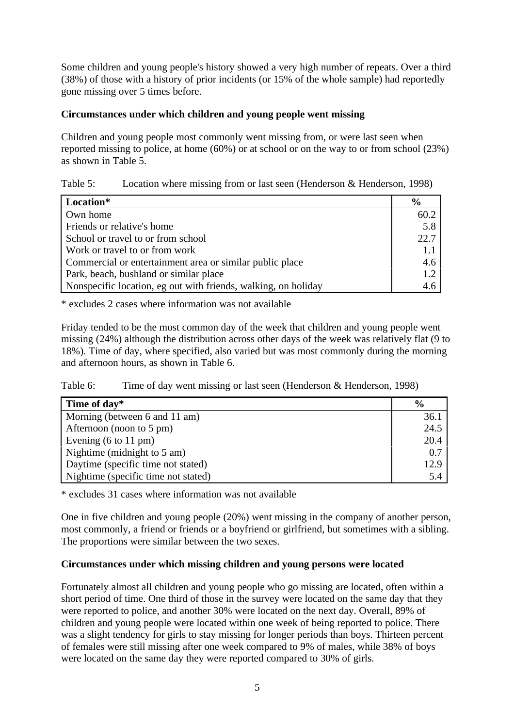Some children and young people's history showed a very high number of repeats. Over a third (38%) of those with a history of prior incidents (or 15% of the whole sample) had reportedly gone missing over 5 times before.

# **Circumstances under which children and young people went missing**

Children and young people most commonly went missing from, or were last seen when reported missing to police, at home (60%) or at school or on the way to or from school (23%) as shown in Table 5.

# Table 5: Location where missing from or last seen (Henderson & Henderson, 1998)

| Location*                                                      | $\frac{6}{9}$ |
|----------------------------------------------------------------|---------------|
| Own home                                                       | 60.2          |
| Friends or relative's home                                     | 5.8           |
| School or travel to or from school                             | 22.7          |
| Work or travel to or from work                                 |               |
| Commercial or entertainment area or similar public place       | 4.6           |
| Park, beach, bushland or similar place                         | 1.2           |
| Nonspecific location, eg out with friends, walking, on holiday | 4.f           |

\* excludes 2 cases where information was not available

Friday tended to be the most common day of the week that children and young people went missing (24%) although the distribution across other days of the week was relatively flat (9 to 18%). Time of day, where specified, also varied but was most commonly during the morning and afternoon hours, as shown in Table 6.

Table 6: Time of day went missing or last seen (Henderson & Henderson, 1998)

| Time of day*                            | $\frac{6}{9}$ |
|-----------------------------------------|---------------|
| Morning (between 6 and 11 am)           | 36.1          |
| Afternoon (noon to 5 pm)                | 24.5          |
| Evening $(6 \text{ to } 11 \text{ pm})$ | 20.4          |
| Nightime (midnight to 5 am)             | 0.7           |
| Daytime (specific time not stated)      | 12.9          |
| Nightime (specific time not stated)     | 5.4           |

\* excludes 31 cases where information was not available

One in five children and young people (20%) went missing in the company of another person, most commonly, a friend or friends or a boyfriend or girlfriend, but sometimes with a sibling. The proportions were similar between the two sexes.

#### **Circumstances under which missing children and young persons were located**

Fortunately almost all children and young people who go missing are located, often within a short period of time. One third of those in the survey were located on the same day that they were reported to police, and another 30% were located on the next day. Overall, 89% of children and young people were located within one week of being reported to police. There was a slight tendency for girls to stay missing for longer periods than boys. Thirteen percent of females were still missing after one week compared to 9% of males, while 38% of boys were located on the same day they were reported compared to 30% of girls.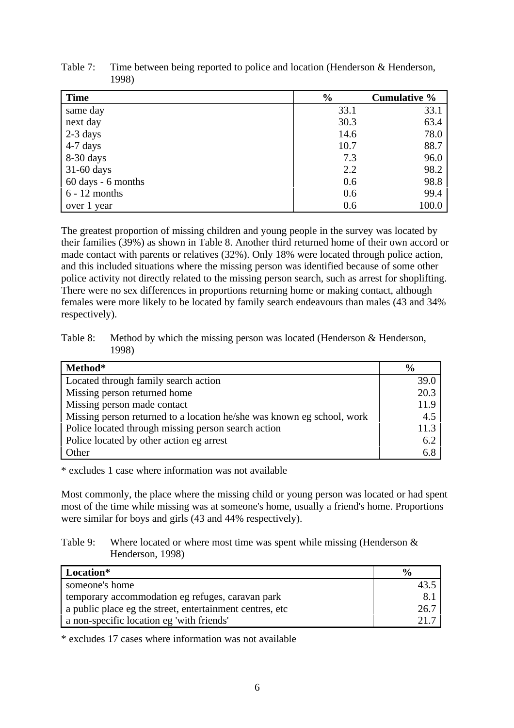| <b>Time</b>        | $\frac{6}{9}$ | <b>Cumulative %</b> |
|--------------------|---------------|---------------------|
| same day           | 33.1          | 33.1                |
| next day           | 30.3          | 63.4                |
| $2-3$ days         | 14.6          | 78.0                |
| $4-7$ days         | 10.7          | 88.7                |
| 8-30 days          | 7.3           | 96.0                |
| $31-60$ days       | 2.2           | 98.2                |
| 60 days - 6 months | 0.6           | 98.8                |
| $6 - 12$ months    | 0.6           | 99.4                |
| over 1 year        | 0.6           | 100.0               |

Table 7: Time between being reported to police and location (Henderson & Henderson, 1998)

The greatest proportion of missing children and young people in the survey was located by their families (39%) as shown in Table 8. Another third returned home of their own accord or made contact with parents or relatives (32%). Only 18% were located through police action, and this included situations where the missing person was identified because of some other police activity not directly related to the missing person search, such as arrest for shoplifting. There were no sex differences in proportions returning home or making contact, although females were more likely to be located by family search endeavours than males (43 and 34% respectively).

Table 8: Method by which the missing person was located (Henderson & Henderson, 1998)

| Method*                                                                | $\frac{6}{9}$ |
|------------------------------------------------------------------------|---------------|
| Located through family search action                                   | 39.0          |
| Missing person returned home                                           | 20.3          |
| Missing person made contact                                            | 11.9          |
| Missing person returned to a location he/she was known eg school, work | 4.5           |
| Police located through missing person search action                    | 11.3          |
| Police located by other action eg arrest                               | 6.2           |
| Other                                                                  | 6.8           |

\* excludes 1 case where information was not available

Most commonly, the place where the missing child or young person was located or had spent most of the time while missing was at someone's home, usually a friend's home. Proportions were similar for boys and girls (43 and 44% respectively).

#### Table 9: Where located or where most time was spent while missing (Henderson  $\&$ Henderson, 1998)

| Location*                                                 | $\frac{6}{9}$ |
|-----------------------------------------------------------|---------------|
| someone's home                                            |               |
| temporary accommodation eg refuges, caravan park          | 8.            |
| a public place eg the street, entertainment centres, etc. | 26.7          |
| a non-specific location eg 'with friends'                 |               |

\* excludes 17 cases where information was not available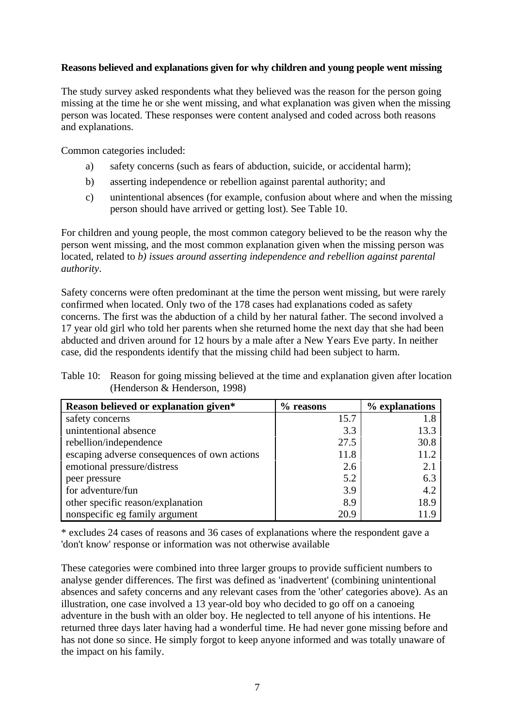## **Reasons believed and explanations given for why children and young people went missing**

The study survey asked respondents what they believed was the reason for the person going missing at the time he or she went missing, and what explanation was given when the missing person was located. These responses were content analysed and coded across both reasons and explanations.

Common categories included:

- a) safety concerns (such as fears of abduction, suicide, or accidental harm);
- b) asserting independence or rebellion against parental authority; and
- c) unintentional absences (for example, confusion about where and when the missing person should have arrived or getting lost). See Table 10.

For children and young people, the most common category believed to be the reason why the person went missing, and the most common explanation given when the missing person was located, related to *b) issues around asserting independence and rebellion against parental authority*.

Safety concerns were often predominant at the time the person went missing, but were rarely confirmed when located. Only two of the 178 cases had explanations coded as safety concerns. The first was the abduction of a child by her natural father. The second involved a 17 year old girl who told her parents when she returned home the next day that she had been abducted and driven around for 12 hours by a male after a New Years Eve party. In neither case, did the respondents identify that the missing child had been subject to harm.

| Table 10: Reason for going missing believed at the time and explanation given after location |
|----------------------------------------------------------------------------------------------|
| (Henderson & Henderson, 1998)                                                                |

| Reason believed or explanation given*        | $%$ reasons | % explanations |
|----------------------------------------------|-------------|----------------|
| safety concerns                              | 15.7        | 1.8            |
| unintentional absence                        | 3.3         | 13.3           |
| rebellion/independence                       | 27.5        | 30.8           |
| escaping adverse consequences of own actions | 11.8        | 11.2           |
| emotional pressure/distress                  | 2.6         | 2.1            |
| peer pressure                                | 5.2         | 6.3            |
| for adventure/fun                            | 3.9         | 4.2            |
| other specific reason/explanation            | 8.9         | 18.9           |
| nonspecific eg family argument               | 20.9        |                |

\* excludes 24 cases of reasons and 36 cases of explanations where the respondent gave a 'don't know' response or information was not otherwise available

These categories were combined into three larger groups to provide sufficient numbers to analyse gender differences. The first was defined as 'inadvertent' (combining unintentional absences and safety concerns and any relevant cases from the 'other' categories above). As an illustration, one case involved a 13 year-old boy who decided to go off on a canoeing adventure in the bush with an older boy. He neglected to tell anyone of his intentions. He returned three days later having had a wonderful time. He had never gone missing before and has not done so since. He simply forgot to keep anyone informed and was totally unaware of the impact on his family.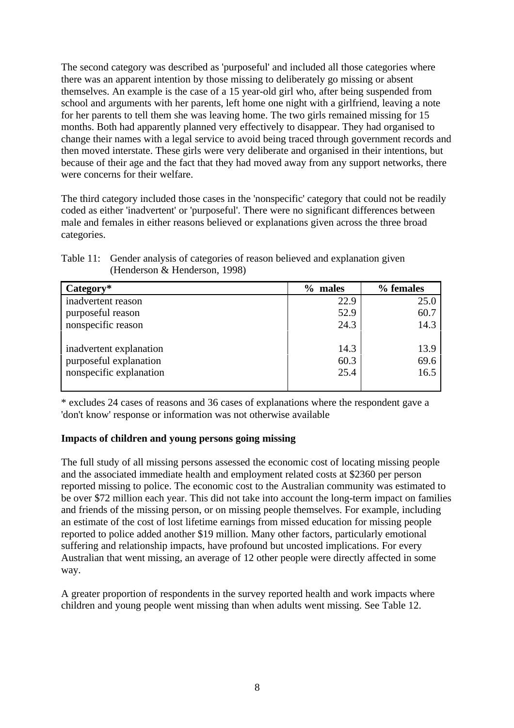The second category was described as 'purposeful' and included all those categories where there was an apparent intention by those missing to deliberately go missing or absent themselves. An example is the case of a 15 year-old girl who, after being suspended from school and arguments with her parents, left home one night with a girlfriend, leaving a note for her parents to tell them she was leaving home. The two girls remained missing for 15 months. Both had apparently planned very effectively to disappear. They had organised to change their names with a legal service to avoid being traced through government records and then moved interstate. These girls were very deliberate and organised in their intentions, but because of their age and the fact that they had moved away from any support networks, there were concerns for their welfare.

The third category included those cases in the 'nonspecific' category that could not be readily coded as either 'inadvertent' or 'purposeful'. There were no significant differences between male and females in either reasons believed or explanations given across the three broad categories.

| $Category*$             | $\%$<br>males | % females |
|-------------------------|---------------|-----------|
| inadvertent reason      | 22.9          | 25.0      |
| purposeful reason       | 52.9          | 60.7      |
| nonspecific reason      | 24.3          | 14.3      |
|                         |               |           |
| inadvertent explanation | 14.3          | 13.9      |
| purposeful explanation  | 60.3          | 69.6      |
| nonspecific explanation | 25.4          | 16.5      |
|                         |               |           |

| Table 11: Gender analysis of categories of reason believed and explanation given |
|----------------------------------------------------------------------------------|
| (Henderson $\&$ Henderson, 1998)                                                 |

\* excludes 24 cases of reasons and 36 cases of explanations where the respondent gave a 'don't know' response or information was not otherwise available

# **Impacts of children and young persons going missing**

The full study of all missing persons assessed the economic cost of locating missing people and the associated immediate health and employment related costs at \$2360 per person reported missing to police. The economic cost to the Australian community was estimated to be over \$72 million each year. This did not take into account the long-term impact on families and friends of the missing person, or on missing people themselves. For example, including an estimate of the cost of lost lifetime earnings from missed education for missing people reported to police added another \$19 million. Many other factors, particularly emotional suffering and relationship impacts, have profound but uncosted implications. For every Australian that went missing, an average of 12 other people were directly affected in some way.

A greater proportion of respondents in the survey reported health and work impacts where children and young people went missing than when adults went missing. See Table 12.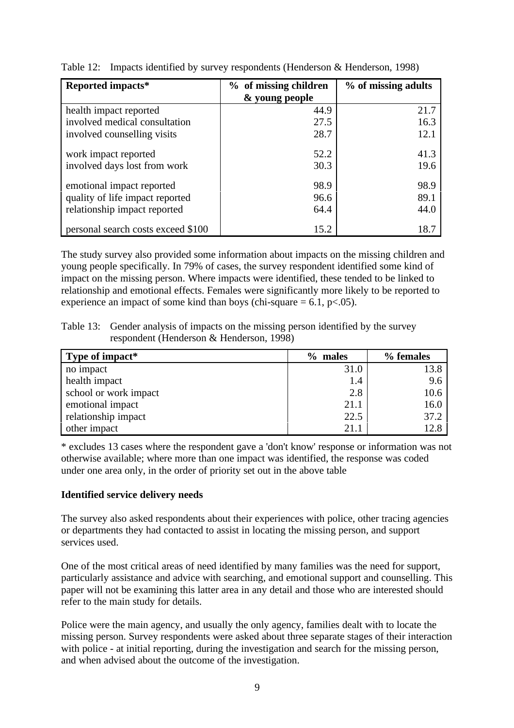| Reported impacts*                  | % of missing children | % of missing adults |
|------------------------------------|-----------------------|---------------------|
|                                    | & young people        |                     |
| health impact reported             | 44.9                  | 21.7                |
| involved medical consultation      | 27.5                  | 16.3                |
| involved counselling visits        | 28.7                  | 12.1                |
| work impact reported               | 52.2                  | 41.3                |
| involved days lost from work       | 30.3                  | 19.6                |
| emotional impact reported          | 98.9                  | 98.9                |
| quality of life impact reported    | 96.6                  | 89.1                |
| relationship impact reported       | 64.4                  | 44.0                |
| personal search costs exceed \$100 | 15.2                  | 18.7                |

Table 12: Impacts identified by survey respondents (Henderson & Henderson, 1998)

The study survey also provided some information about impacts on the missing children and young people specifically. In 79% of cases, the survey respondent identified some kind of impact on the missing person. Where impacts were identified, these tended to be linked to relationship and emotional effects. Females were significantly more likely to be reported to experience an impact of some kind than boys (chi-square  $= 6.1$ , p $< .05$ ).

Table 13: Gender analysis of impacts on the missing person identified by the survey respondent (Henderson & Henderson, 1998)

| Type of impact*       | $\%$<br>males | % females |
|-----------------------|---------------|-----------|
| no impact             | 31.0          | 13.8      |
| health impact         | 1.4           | 9.6       |
| school or work impact | 2.8           | 10.6      |
| emotional impact      | 21.1          | 16.0      |
| relationship impact   | 22.5          | 37.2      |
| other impact          | 21.1          | 12.8      |

\* excludes 13 cases where the respondent gave a 'don't know' response or information was not otherwise available; where more than one impact was identified, the response was coded under one area only, in the order of priority set out in the above table

# **Identified service delivery needs**

The survey also asked respondents about their experiences with police, other tracing agencies or departments they had contacted to assist in locating the missing person, and support services used.

One of the most critical areas of need identified by many families was the need for support, particularly assistance and advice with searching, and emotional support and counselling. This paper will not be examining this latter area in any detail and those who are interested should refer to the main study for details.

Police were the main agency, and usually the only agency, families dealt with to locate the missing person. Survey respondents were asked about three separate stages of their interaction with police - at initial reporting, during the investigation and search for the missing person, and when advised about the outcome of the investigation.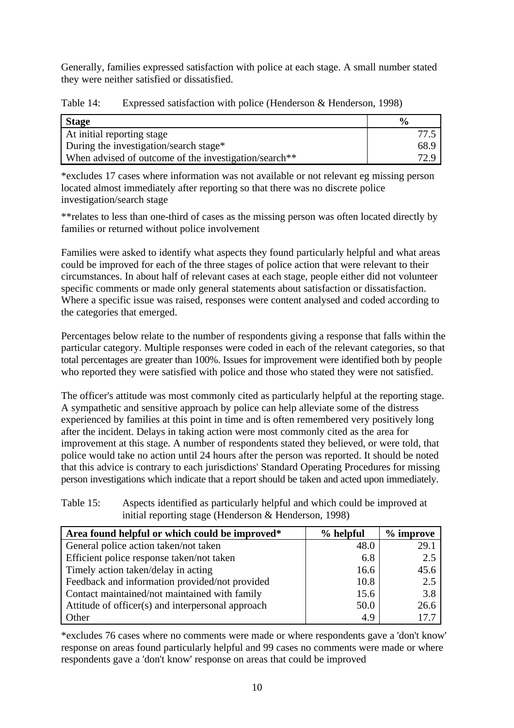Generally, families expressed satisfaction with police at each stage. A small number stated they were neither satisfied or dissatisfied.

| <b>Stage</b>                                                      | $\mathbf{v}_{\alpha}$ |
|-------------------------------------------------------------------|-----------------------|
| At initial reporting stage                                        |                       |
| During the investigation/search stage*                            | 68.9                  |
| When advised of outcome of the investigation/search <sup>**</sup> | 72 Q                  |

Table 14: Expressed satisfaction with police (Henderson & Henderson, 1998)

\*excludes 17 cases where information was not available or not relevant eg missing person located almost immediately after reporting so that there was no discrete police investigation/search stage

\*\*relates to less than one-third of cases as the missing person was often located directly by families or returned without police involvement

Families were asked to identify what aspects they found particularly helpful and what areas could be improved for each of the three stages of police action that were relevant to their circumstances. In about half of relevant cases at each stage, people either did not volunteer specific comments or made only general statements about satisfaction or dissatisfaction. Where a specific issue was raised, responses were content analysed and coded according to the categories that emerged.

Percentages below relate to the number of respondents giving a response that falls within the particular category. Multiple responses were coded in each of the relevant categories, so that total percentages are greater than 100%. Issues for improvement were identified both by people who reported they were satisfied with police and those who stated they were not satisfied.

The officer's attitude was most commonly cited as particularly helpful at the reporting stage. A sympathetic and sensitive approach by police can help alleviate some of the distress experienced by families at this point in time and is often remembered very positively long after the incident. Delays in taking action were most commonly cited as the area for improvement at this stage. A number of respondents stated they believed, or were told, that police would take no action until 24 hours after the person was reported. It should be noted that this advice is contrary to each jurisdictions' Standard Operating Procedures for missing person investigations which indicate that a report should be taken and acted upon immediately.

| Table 15: | Aspects identified as particularly helpful and which could be improved at |
|-----------|---------------------------------------------------------------------------|
|           | initial reporting stage (Henderson $\&$ Henderson, 1998)                  |

| Area found helpful or which could be improved*    | % helpful | $%$ improve |
|---------------------------------------------------|-----------|-------------|
| General police action taken/not taken             | 48.0      | 29.1        |
| Efficient police response taken/not taken         | 6.8       | 2.5         |
| Timely action taken/delay in acting               | 16.6      | 45.6        |
| Feedback and information provided/not provided    | 10.8      | 2.5         |
| Contact maintained/not maintained with family     | 15.6      | 3.8         |
| Attitude of officer(s) and interpersonal approach | 50.0      | 26.6        |
| Other                                             | 4.9       | 17.7        |

\*excludes 76 cases where no comments were made or where respondents gave a 'don't know' response on areas found particularly helpful and 99 cases no comments were made or where respondents gave a 'don't know' response on areas that could be improved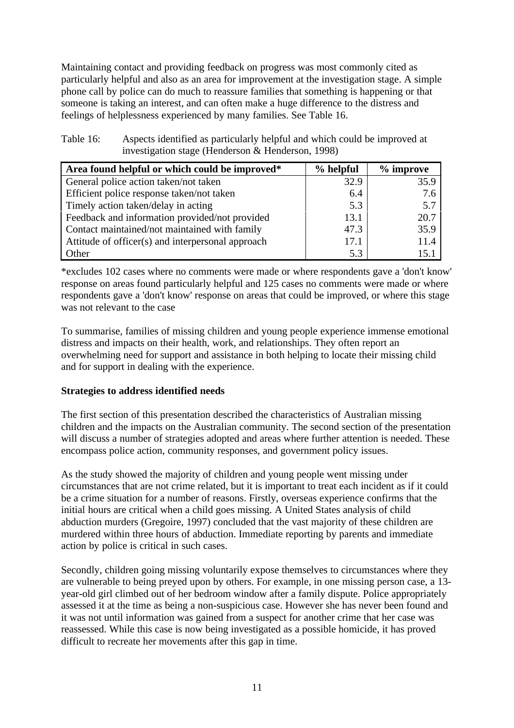Maintaining contact and providing feedback on progress was most commonly cited as particularly helpful and also as an area for improvement at the investigation stage. A simple phone call by police can do much to reassure families that something is happening or that someone is taking an interest, and can often make a huge difference to the distress and feelings of helplessness experienced by many families. See Table 16.

| Table 16: | Aspects identified as particularly helpful and which could be improved at |
|-----------|---------------------------------------------------------------------------|
|           | investigation stage (Henderson $\&$ Henderson, 1998)                      |

| Area found helpful or which could be improved*    | $%$ helpful | $%$ improve |
|---------------------------------------------------|-------------|-------------|
| General police action taken/not taken             | 32.9        | 35.9        |
| Efficient police response taken/not taken         | 6.4         | 7.6         |
| Timely action taken/delay in acting               | 5.3         | 5.7         |
| Feedback and information provided/not provided    | 13.1        | 20.7        |
| Contact maintained/not maintained with family     | 47.3        | 35.9        |
| Attitude of officer(s) and interpersonal approach | 17.1        | 11.4        |
| Other                                             | 5.3         |             |

\*excludes 102 cases where no comments were made or where respondents gave a 'don't know' response on areas found particularly helpful and 125 cases no comments were made or where respondents gave a 'don't know' response on areas that could be improved, or where this stage was not relevant to the case

To summarise, families of missing children and young people experience immense emotional distress and impacts on their health, work, and relationships. They often report an overwhelming need for support and assistance in both helping to locate their missing child and for support in dealing with the experience.

# **Strategies to address identified needs**

The first section of this presentation described the characteristics of Australian missing children and the impacts on the Australian community. The second section of the presentation will discuss a number of strategies adopted and areas where further attention is needed. These encompass police action, community responses, and government policy issues.

As the study showed the majority of children and young people went missing under circumstances that are not crime related, but it is important to treat each incident as if it could be a crime situation for a number of reasons. Firstly, overseas experience confirms that the initial hours are critical when a child goes missing. A United States analysis of child abduction murders (Gregoire, 1997) concluded that the vast majority of these children are murdered within three hours of abduction. Immediate reporting by parents and immediate action by police is critical in such cases.

Secondly, children going missing voluntarily expose themselves to circumstances where they are vulnerable to being preyed upon by others. For example, in one missing person case, a 13 year-old girl climbed out of her bedroom window after a family dispute. Police appropriately assessed it at the time as being a non-suspicious case. However she has never been found and it was not until information was gained from a suspect for another crime that her case was reassessed. While this case is now being investigated as a possible homicide, it has proved difficult to recreate her movements after this gap in time.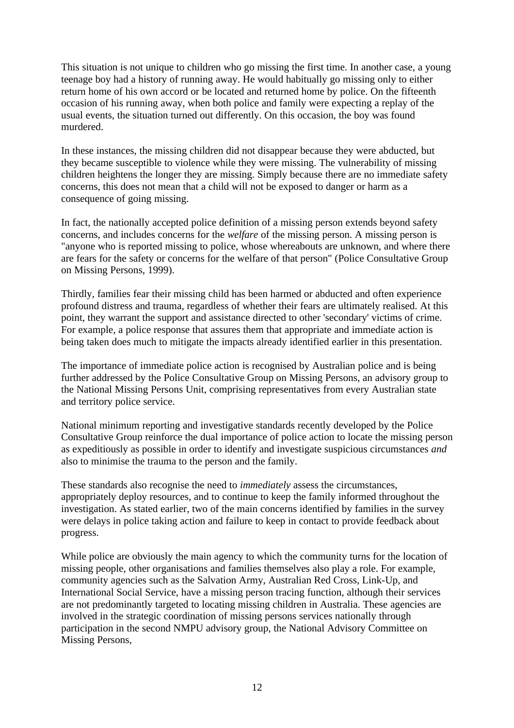This situation is not unique to children who go missing the first time. In another case, a young teenage boy had a history of running away. He would habitually go missing only to either return home of his own accord or be located and returned home by police. On the fifteenth occasion of his running away, when both police and family were expecting a replay of the usual events, the situation turned out differently. On this occasion, the boy was found murdered.

In these instances, the missing children did not disappear because they were abducted, but they became susceptible to violence while they were missing. The vulnerability of missing children heightens the longer they are missing. Simply because there are no immediate safety concerns, this does not mean that a child will not be exposed to danger or harm as a consequence of going missing.

In fact, the nationally accepted police definition of a missing person extends beyond safety concerns, and includes concerns for the *welfare* of the missing person. A missing person is "anyone who is reported missing to police, whose whereabouts are unknown, and where there are fears for the safety or concerns for the welfare of that person" (Police Consultative Group on Missing Persons, 1999).

Thirdly, families fear their missing child has been harmed or abducted and often experience profound distress and trauma, regardless of whether their fears are ultimately realised. At this point, they warrant the support and assistance directed to other 'secondary' victims of crime. For example, a police response that assures them that appropriate and immediate action is being taken does much to mitigate the impacts already identified earlier in this presentation.

The importance of immediate police action is recognised by Australian police and is being further addressed by the Police Consultative Group on Missing Persons, an advisory group to the National Missing Persons Unit, comprising representatives from every Australian state and territory police service.

National minimum reporting and investigative standards recently developed by the Police Consultative Group reinforce the dual importance of police action to locate the missing person as expeditiously as possible in order to identify and investigate suspicious circumstances *and* also to minimise the trauma to the person and the family.

These standards also recognise the need to *immediately* assess the circumstances, appropriately deploy resources, and to continue to keep the family informed throughout the investigation. As stated earlier, two of the main concerns identified by families in the survey were delays in police taking action and failure to keep in contact to provide feedback about progress.

While police are obviously the main agency to which the community turns for the location of missing people, other organisations and families themselves also play a role. For example, community agencies such as the Salvation Army, Australian Red Cross, Link-Up, and International Social Service, have a missing person tracing function, although their services are not predominantly targeted to locating missing children in Australia. These agencies are involved in the strategic coordination of missing persons services nationally through participation in the second NMPU advisory group, the National Advisory Committee on Missing Persons,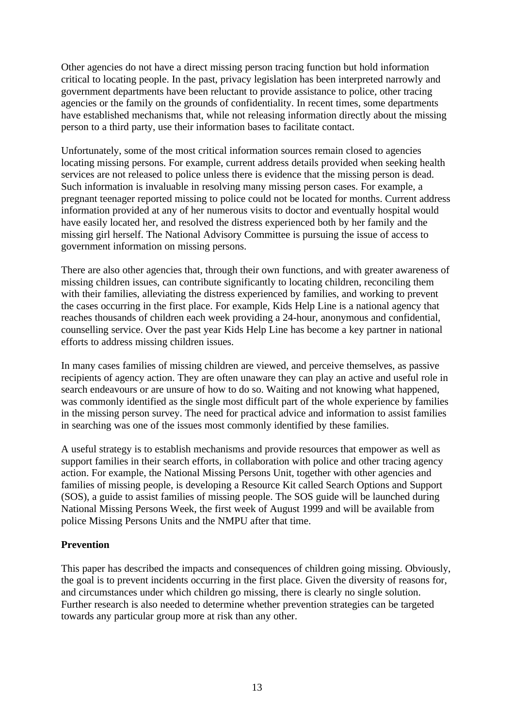Other agencies do not have a direct missing person tracing function but hold information critical to locating people. In the past, privacy legislation has been interpreted narrowly and government departments have been reluctant to provide assistance to police, other tracing agencies or the family on the grounds of confidentiality. In recent times, some departments have established mechanisms that, while not releasing information directly about the missing person to a third party, use their information bases to facilitate contact.

Unfortunately, some of the most critical information sources remain closed to agencies locating missing persons. For example, current address details provided when seeking health services are not released to police unless there is evidence that the missing person is dead. Such information is invaluable in resolving many missing person cases. For example, a pregnant teenager reported missing to police could not be located for months. Current address information provided at any of her numerous visits to doctor and eventually hospital would have easily located her, and resolved the distress experienced both by her family and the missing girl herself. The National Advisory Committee is pursuing the issue of access to government information on missing persons.

There are also other agencies that, through their own functions, and with greater awareness of missing children issues, can contribute significantly to locating children, reconciling them with their families, alleviating the distress experienced by families, and working to prevent the cases occurring in the first place. For example, Kids Help Line is a national agency that reaches thousands of children each week providing a 24-hour, anonymous and confidential, counselling service. Over the past year Kids Help Line has become a key partner in national efforts to address missing children issues.

In many cases families of missing children are viewed, and perceive themselves, as passive recipients of agency action. They are often unaware they can play an active and useful role in search endeavours or are unsure of how to do so. Waiting and not knowing what happened, was commonly identified as the single most difficult part of the whole experience by families in the missing person survey. The need for practical advice and information to assist families in searching was one of the issues most commonly identified by these families.

A useful strategy is to establish mechanisms and provide resources that empower as well as support families in their search efforts, in collaboration with police and other tracing agency action. For example, the National Missing Persons Unit, together with other agencies and families of missing people, is developing a Resource Kit called Search Options and Support (SOS), a guide to assist families of missing people. The SOS guide will be launched during National Missing Persons Week, the first week of August 1999 and will be available from police Missing Persons Units and the NMPU after that time.

# **Prevention**

This paper has described the impacts and consequences of children going missing. Obviously, the goal is to prevent incidents occurring in the first place. Given the diversity of reasons for, and circumstances under which children go missing, there is clearly no single solution. Further research is also needed to determine whether prevention strategies can be targeted towards any particular group more at risk than any other.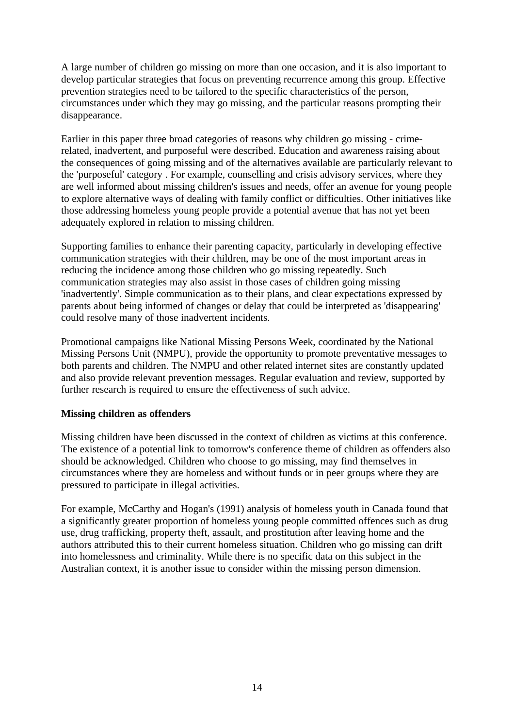A large number of children go missing on more than one occasion, and it is also important to develop particular strategies that focus on preventing recurrence among this group. Effective prevention strategies need to be tailored to the specific characteristics of the person, circumstances under which they may go missing, and the particular reasons prompting their disappearance.

Earlier in this paper three broad categories of reasons why children go missing - crimerelated, inadvertent, and purposeful were described. Education and awareness raising about the consequences of going missing and of the alternatives available are particularly relevant to the 'purposeful' category . For example, counselling and crisis advisory services, where they are well informed about missing children's issues and needs, offer an avenue for young people to explore alternative ways of dealing with family conflict or difficulties. Other initiatives like those addressing homeless young people provide a potential avenue that has not yet been adequately explored in relation to missing children.

Supporting families to enhance their parenting capacity, particularly in developing effective communication strategies with their children, may be one of the most important areas in reducing the incidence among those children who go missing repeatedly. Such communication strategies may also assist in those cases of children going missing 'inadvertently'. Simple communication as to their plans, and clear expectations expressed by parents about being informed of changes or delay that could be interpreted as 'disappearing' could resolve many of those inadvertent incidents.

Promotional campaigns like National Missing Persons Week, coordinated by the National Missing Persons Unit (NMPU), provide the opportunity to promote preventative messages to both parents and children. The NMPU and other related internet sites are constantly updated and also provide relevant prevention messages. Regular evaluation and review, supported by further research is required to ensure the effectiveness of such advice.

# **Missing children as offenders**

Missing children have been discussed in the context of children as victims at this conference. The existence of a potential link to tomorrow's conference theme of children as offenders also should be acknowledged. Children who choose to go missing, may find themselves in circumstances where they are homeless and without funds or in peer groups where they are pressured to participate in illegal activities.

For example, McCarthy and Hogan's (1991) analysis of homeless youth in Canada found that a significantly greater proportion of homeless young people committed offences such as drug use, drug trafficking, property theft, assault, and prostitution after leaving home and the authors attributed this to their current homeless situation. Children who go missing can drift into homelessness and criminality. While there is no specific data on this subject in the Australian context, it is another issue to consider within the missing person dimension.